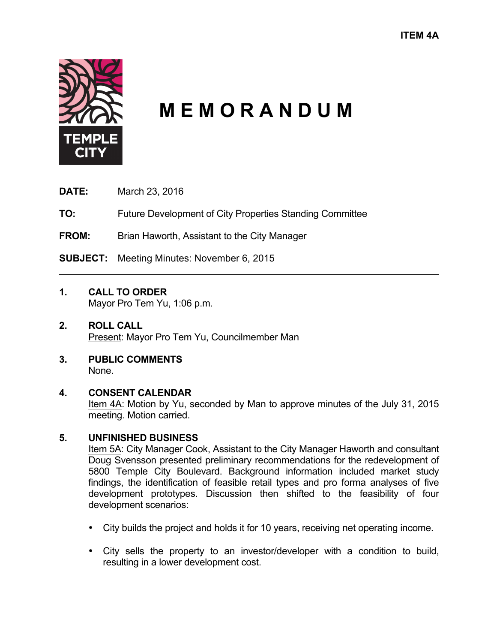

# **M E M O R A N D U M**

**DATE:** March 23, 2016

**TO:** Future Development of City Properties Standing Committee

**FROM:** Brian Haworth, Assistant to the City Manager

**SUBJECT:** Meeting Minutes: November 6, 2015

# **1. CALL TO ORDER**

Mayor Pro Tem Yu, 1:06 p.m.

#### **2. ROLL CALL** Present: Mayor Pro Tem Yu, Councilmember Man

**3. PUBLIC COMMENTS** None.

## **4. CONSENT CALENDAR**

Item 4A: Motion by Yu, seconded by Man to approve minutes of the July 31, 2015 meeting. Motion carried.

## **5. UNFINISHED BUSINESS**

Item 5A: City Manager Cook, Assistant to the City Manager Haworth and consultant Doug Svensson presented preliminary recommendations for the redevelopment of 5800 Temple City Boulevard. Background information included market study findings, the identification of feasible retail types and pro forma analyses of five development prototypes. Discussion then shifted to the feasibility of four development scenarios:

- City builds the project and holds it for 10 years, receiving net operating income.
- City sells the property to an investor/developer with a condition to build, resulting in a lower development cost.